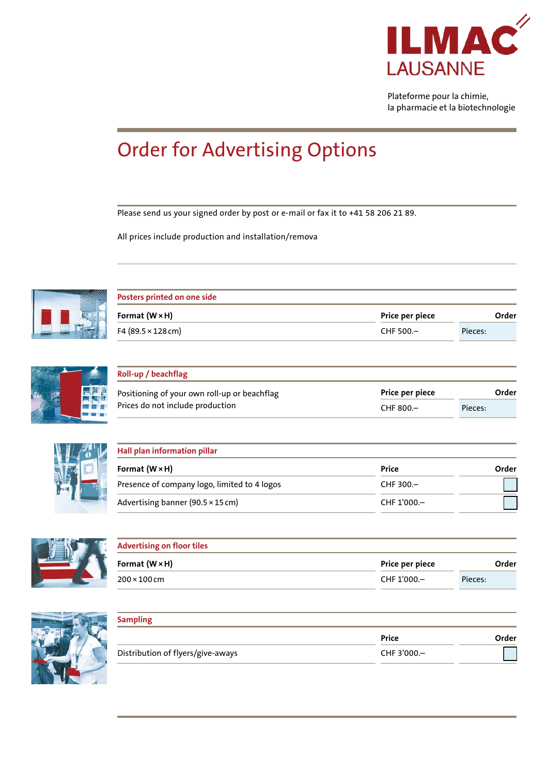

Plateforme pour la chimie, la pharmacie et la biotechnologie

## Order for Advertising Options

Please send us your signed order by post or e-mail or fax it to +41 58 206 21 89.

All prices include production and installation/remova



| Posters printed on one side       |                 |         |
|-----------------------------------|-----------------|---------|
| Format $(W \times H)$             | Price per piece | Order   |
| F4 $(89.5 \times 128 \text{ cm})$ | CHF 500.-       | Pieces: |



| Roll-up / beachflag                                                              |                 |         |
|----------------------------------------------------------------------------------|-----------------|---------|
| Positioning of your own roll-up or beachflag<br>Prices do not include production | Price per piece | Order   |
|                                                                                  | CHF 800.-       | Pieces: |



| Hall plan information pillar                 |              |       |
|----------------------------------------------|--------------|-------|
| Format $(W \times H)$                        | Price        | Order |
| Presence of company logo, limited to 4 logos | CHF $300 -$  |       |
| Advertising banner (90.5 × 15 cm)            | CHF 1'000 .- |       |



| <b>Advertising on floor tiles</b> |                 |         |  |
|-----------------------------------|-----------------|---------|--|
| Format $(W \times H)$             | Price per piece | Order   |  |
| $200\times100$ cm                 | CHF 1'000 -     | Pieces: |  |



| <b>Sampling</b>                   |              |       |
|-----------------------------------|--------------|-------|
|                                   | Price        | Order |
| Distribution of flyers/give-aways | CHF 3'000 .- |       |